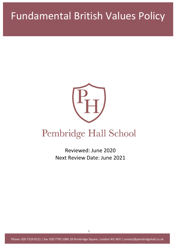# Fundamental British Values Policy



## Pembridge Hall School

Reviewed: June 2020 Next Review Date: June 2021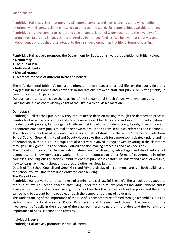#### **School Vision**

Pembridge Hall recognises that our girls will enter a complex and ever-changing world which befits emotionally intelligent, resilient girls who can embrace the wonderful opportunities available to them. Pembridge girls love coming to school and gain an appreciation of wider society and the diversity of nationalities, faiths and languages represented by Pembridge families. We believe that creativity and independence of thought are as integral to the girls' development as traditional forms of learning.

Pembridge Hall actively promotes the Department for Education's five-part definition of British values:

- **Democracy**
- **The rule of law**
- **Individual liberty**
- **Mutual respect**
- **Tolerance of those of different faiths and beliefs**

These fundamental British Values are reinforced in every aspect of school life: on the sports field and playground; in classrooms and corridors; in interactions between staff and pupils, on playing fields; in communication with parents.

Our curriculum aims to include the teaching of the Fundamental British Values whenever possible. Each individual classroom displays a list of the FBV in a clear, visible location.

#### **Democracy**

Pembridge Hall teaches pupils how they can influence decision-making through the democratic process**.**  Pembridge Hall actively promotes and encourages a respect for democracy and support for participation in the democratic process; Pembridge Hall believes that knowing about democracy, its origins, evolution and its contents empowers pupils to make their own minds up as citizens in politics, referenda and elections.

The school ensures that all students have a voice that is listened to; the school's democratic elections School Council, Green Girls, Head and Deputy Heads sows the seeds for a more sophisticated understanding of democracy in the future. The pupils are also actively involved in regular weekly voting in the classroom through Quiz's, green Girls and School Council decision making processes and class decisions.

The school's History curriculum includes material on the strengths, advantages and disadvantages of democracy, and how democracy works in Britain, in contrast to other forms of government in other countries. The Religious Education curriculum enables pupils to visit and fully understand places of worship, how to learn from, learn about and appreciate other religious faiths.

Details of The School Council and Green Girls and FBV are displayed in communal areas in both buildings of the school, you will find them upon entry top each building.

#### **The Rule of Law**

Pembridge Hall actively promotes the rule of criminal and civil law (of England). The schools ethos supports the rule of law. This school teaches that living under the rule of law protects individual citizens and is essential for their well-being and safety; this school teaches that bodies such as the police and the army can be held to account by the people, through the democratic organs of government.

This understanding of the importance of the rule of is consistently reinforced through assemblies, outside visitors from the local area i.e. Police, Paramedics and Firemen, and through the curriculum. The involvement of pupils in the creation of the classroom rules helps them to understand the benefits and importance of rules, sanctions and rewards.

#### **Individual Liberty**

Pembridge Hall actively promotes individual liberty.